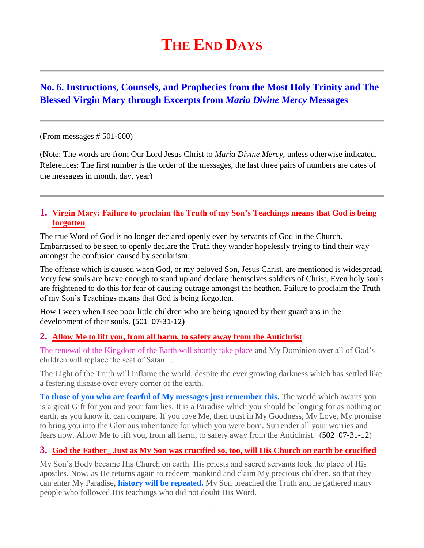# **THE END DAYS**

# **No. 6. Instructions, Counsels, and Prophecies from the Most Holy Trinity and The Blessed Virgin Mary through Excerpts from** *Maria Divine Mercy* **Messages**

#### (From messages # 501-600)

(Note: The words are from Our Lord Jesus Christ to *Maria Divine Mercy*, unless otherwise indicated. References: The first number is the order of the messages, the last three pairs of numbers are dates of the messages in month, day, year)

#### **1. [Virgin Mary: Failure to proclaim the Truth of my Son's Teachings means that God is being](http://www.thewarningsecondcoming.com/virgin-mary-failure-to-proclaim-the-truth-of-my-sons-teachings-means-that-god-is-being-forgotten/)  [forgotten](http://www.thewarningsecondcoming.com/virgin-mary-failure-to-proclaim-the-truth-of-my-sons-teachings-means-that-god-is-being-forgotten/)**

The true Word of God is no longer declared openly even by servants of God in the Church. Embarrassed to be seen to openly declare the Truth they wander hopelessly trying to find their way amongst the confusion caused by secularism.

The offense which is caused when God, or my beloved Son, Jesus Christ, are mentioned is widespread. Very few souls are brave enough to stand up and declare themselves soldiers of Christ. Even holy souls are frightened to do this for fear of causing outrage amongst the heathen. Failure to proclaim the Truth of my Son's Teachings means that God is being forgotten.

How I weep when I see poor little children who are being ignored by their guardians in the development of their souls. **(**501 07-31-12**)**

#### **2. [Allow Me to lift you, from all harm, to safety away from the Antichrist](http://www.thewarningsecondcoming.com/allow-me-to-lift-you-from-all-harm-to-safety-away-from-the-antichrist/)**

The renewal of the Kingdom of the Earth will shortly take place and My Dominion over all of God's children will replace the seat of Satan…

The Light of the Truth will inflame the world, despite the ever growing darkness which has settled like a festering disease over every corner of the earth.

**To those of you who are fearful of My messages just remember this.** The world which awaits you is a great Gift for you and your families. It is a Paradise which you should be longing for as nothing on earth, as you know it, can compare. If you love Me, then trust in My Goodness, My Love, My promise to bring you into the Glorious inheritance for which you were born. Surrender all your worries and fears now. Allow Me to lift you, from all harm, to safety away from the Antichrist. (502 07-31-12)

#### **3. [God the Father\\_ Just as My Son was crucified so, too, will His Church on earth be crucified](http://www.thewarningsecondcoming.com/god-the-father-just-as-my-son-was-crucified-so-too-will-his-church-on-earth-be-crucified/)**

My Son's Body became His Church on earth. His priests and sacred servants took the place of His apostles. Now, as He returns again to redeem mankind and claim My precious children, so that they can enter My Paradise, **history will be repeated.** My Son preached the Truth and he gathered many people who followed His teachings who did not doubt His Word.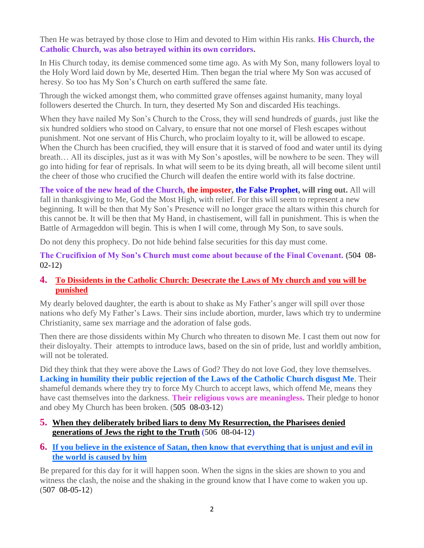Then He was betrayed by those close to Him and devoted to Him within His ranks. **His Church, the Catholic Church, was also betrayed within its own corridors.**

In His Church today, its demise commenced some time ago. As with My Son, many followers loyal to the Holy Word laid down by Me, deserted Him. Then began the trial where My Son was accused of heresy. So too has My Son's Church on earth suffered the same fate.

Through the wicked amongst them, who committed grave offenses against humanity, many loyal followers deserted the Church. In turn, they deserted My Son and discarded His teachings.

When they have nailed My Son's Church to the Cross, they will send hundreds of guards, just like the six hundred soldiers who stood on Calvary, to ensure that not one morsel of Flesh escapes without punishment. Not one servant of His Church, who proclaim loyalty to it, will be allowed to escape. When the Church has been crucified, they will ensure that it is starved of food and water until its dying breath… All its disciples, just as it was with My Son's apostles, will be nowhere to be seen. They will go into hiding for fear of reprisals. In what will seem to be its dying breath, all will become silent until the cheer of those who crucified the Church will deafen the entire world with its false doctrine.

**The voice of the new head of the Church, the imposter, the False Prophet, will ring out.** All will fall in thanksgiving to Me, God the Most High, with relief. For this will seem to represent a new beginning. It will be then that My Son's Presence will no longer grace the altars within this church for this cannot be. It will be then that My Hand, in chastisement, will fall in punishment. This is when the Battle of Armageddon will begin. This is when I will come, through My Son, to save souls.

Do not deny this prophecy. Do not hide behind false securities for this day must come.

**The Crucifixion of My Son's Church must come about because of the Final Covenant. (**504 08- 02-12**)**

# **4. [To Dissidents in the Catholic Church: Desecrate the Laws of My church and you will be](http://www.thewarningsecondcoming.com/to-dissidents-in-the-catholic-church-desecrate-the-laws-of-my-church-and-you-will-be-punished/)  [punished](http://www.thewarningsecondcoming.com/to-dissidents-in-the-catholic-church-desecrate-the-laws-of-my-church-and-you-will-be-punished/)**

My dearly beloved daughter, the earth is about to shake as My Father's anger will spill over those nations who defy My Father's Laws. Their sins include abortion, murder, laws which try to undermine Christianity, same sex marriage and the adoration of false gods.

Then there are those dissidents within My Church who threaten to disown Me. I cast them out now for their disloyalty. Their attempts to introduce laws, based on the sin of pride, lust and worldly ambition, will not be tolerated.

Did they think that they were above the Laws of God? They do not love God, they love themselves. **Lacking in humility their public rejection of the Laws of the Catholic Church disgust Me**. Their shameful demands where they try to force My Church to accept laws, which offend Me, means they have cast themselves into the darkness. **Their religious vows are meaningless.** Their pledge to honor and obey My Church has been broken. (505 08-03-12)

- **5. [When they deliberately bribed liars to deny My Resurrection, the Pharisees denied](http://www.thewarningsecondcoming.com/when-they-deliberately-bribed-liars-to-deny-my-resurrection-the-pharisees-denied-generations-of-jews-the-right-to-the-truth/)  [generations of Jews the right to the Truth](http://www.thewarningsecondcoming.com/when-they-deliberately-bribed-liars-to-deny-my-resurrection-the-pharisees-denied-generations-of-jews-the-right-to-the-truth/)** (506 08-04-12)
- **6. If you believe in the existence of Satan, [then know that everything that is unjust and evil in](http://www.thewarningsecondcoming.com/if-you-believe-in-the-existence-of-satan-then-know-that-everything-that-is-unjust-and-evil-in-the-world-is-caused-by-him/)  [the world is caused by him](http://www.thewarningsecondcoming.com/if-you-believe-in-the-existence-of-satan-then-know-that-everything-that-is-unjust-and-evil-in-the-world-is-caused-by-him/)**

Be prepared for this day for it will happen soon. When the signs in the skies are shown to you and witness the clash, the noise and the shaking in the ground know that I have come to waken you up. (507 08-05-12)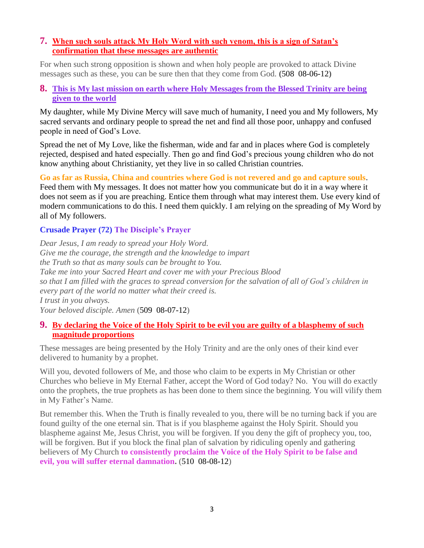# **7. [When such souls attack My Holy Word with such venom, this is a sign of Satan's](http://www.thewarningsecondcoming.com/when-such-souls-attack-my-holy-word-with-such-venom-this-is-a-sign-of-satans-confirmation-that-these-messages-are-authentic-2/)  [confirmation that these messages are authentic](http://www.thewarningsecondcoming.com/when-such-souls-attack-my-holy-word-with-such-venom-this-is-a-sign-of-satans-confirmation-that-these-messages-are-authentic-2/)**

For when such strong opposition is shown and when holy people are provoked to attack Divine messages such as these, you can be sure then that they come from God. **(**508 08-06-12**)**

#### **8. [This is My last mission on earth where Holy Messages from the Blessed Trinity are being](http://www.thewarningsecondcoming.com/this-is-my-last-mission-on-earth-where-holy-messages-from-the-blessed-trinity-are-being-given-to-the-world/)  [given to the](http://www.thewarningsecondcoming.com/this-is-my-last-mission-on-earth-where-holy-messages-from-the-blessed-trinity-are-being-given-to-the-world/) world**

My daughter, while My Divine Mercy will save much of humanity, I need you and My followers, My sacred servants and ordinary people to spread the net and find all those poor, unhappy and confused people in need of God's Love.

Spread the net of My Love, like the fisherman, wide and far and in places where God is completely rejected, despised and hated especially. Then go and find God's precious young children who do not know anything about Christianity, yet they live in so called Christian countries.

**Go as far as Russia, China and countries where God is not revered and go and capture souls**.

Feed them with My messages. It does not matter how you communicate but do it in a way where it does not seem as if you are preaching. Entice them through what may interest them. Use every kind of modern communications to do this. I need them quickly. I am relying on the spreading of My Word by all of My followers.

# **Crusade Prayer (72) The Disciple's Prayer**

*Dear Jesus, I am ready to spread your Holy Word. Give me the courage, the strength and the knowledge to impart the Truth so that as many souls can be brought to You. Take me into your Sacred Heart and cover me with your Precious Blood so that I am filled with the graces to spread conversion for the salvation of all of God's children in every part of the world no matter what their creed is. I trust in you always. Your beloved disciple. Amen* (509 08-07-12)

#### **9. [By declaring the Voice of the Holy Spirit to be evil you are guilty of a blasphemy of such](http://www.thewarningsecondcoming.com/by-declaring-the-voice-of-the-holy-spirit-to-be-evil-you-are-guilty-of-a-blasphemy-of-such-magnitude-proportions/)  [magnitude proportions](http://www.thewarningsecondcoming.com/by-declaring-the-voice-of-the-holy-spirit-to-be-evil-you-are-guilty-of-a-blasphemy-of-such-magnitude-proportions/)**

These messages are being presented by the Holy Trinity and are the only ones of their kind ever delivered to humanity by a prophet.

Will you, devoted followers of Me, and those who claim to be experts in My Christian or other Churches who believe in My Eternal Father, accept the Word of God today? No. You will do exactly onto the prophets, the true prophets as has been done to them since the beginning. You will vilify them in My Father's Name.

But remember this. When the Truth is finally revealed to you, there will be no turning back if you are found guilty of the one eternal sin. That is if you blaspheme against the Holy Spirit. Should you blaspheme against Me, Jesus Christ, you will be forgiven. If you deny the gift of prophecy you, too, will be forgiven. But if you block the final plan of salvation by ridiculing openly and gathering believers of My Church **to consistently proclaim the Voice of the Holy Spirit to be false and evil, you will suffer eternal damnation.** (510 08-08-12)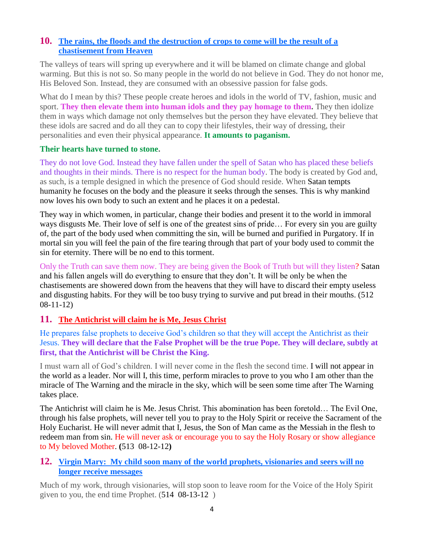# **10. [The rains, the floods and the destruction of crops to come will be the result of a](http://www.thewarningsecondcoming.com/the-rains-the-floods-and-the-destruction-of-crops-to-come-will-be-the-result-of-a-chastisement-from-heaven/)  [chastisement from Heaven](http://www.thewarningsecondcoming.com/the-rains-the-floods-and-the-destruction-of-crops-to-come-will-be-the-result-of-a-chastisement-from-heaven/)**

The valleys of tears will spring up everywhere and it will be blamed on climate change and global warming. But this is not so. So many people in the world do not believe in God. They do not honor me, His Beloved Son. Instead, they are consumed with an obsessive passion for false gods.

What do I mean by this? These people create heroes and idols in the world of TV, fashion, music and sport. **They then elevate them into human idols and they pay homage to them.** They then idolize them in ways which damage not only themselves but the person they have elevated. They believe that these idols are sacred and do all they can to copy their lifestyles, their way of dressing, their personalities and even their physical appearance. **It amounts to paganism.**

#### **Their hearts have turned to stone.**

They do not love God. Instead they have fallen under the spell of Satan who has placed these beliefs and thoughts in their minds. There is no respect for the human body. The body is created by God and, as such, is a temple designed in which the presence of God should reside. When Satan tempts humanity he focuses on the body and the pleasure it seeks through the senses. This is why mankind now loves his own body to such an extent and he places it on a pedestal.

They way in which women, in particular, change their bodies and present it to the world in immoral ways disgusts Me. Their love of self is one of the greatest sins of pride… For every sin you are guilty of, the part of the body used when committing the sin, will be burned and purified in Purgatory. If in mortal sin you will feel the pain of the fire tearing through that part of your body used to commit the sin for eternity. There will be no end to this torment.

Only the Truth can save them now. They are being given the Book of Truth but will they listen? Satan and his fallen angels will do everything to ensure that they don't. It will be only be when the chastisements are showered down from the heavens that they will have to discard their empty useless and disgusting habits. For they will be too busy trying to survive and put bread in their mouths. (512 08-11-12)

# **11. [The Antichrist will claim he is Me, Jesus Christ](http://www.thewarningsecondcoming.com/the-antichrist-will-claim-he-is-me-jesus-christ/)**

He prepares false prophets to deceive God's children so that they will accept the Antichrist as their Jesus. **They will declare that the False Prophet will be the true Pope. They will declare, subtly at first, that the Antichrist will be Christ the King.**

I must warn all of God's children. I will never come in the flesh the second time. I will not appear in the world as a leader. Nor will I, this time, perform miracles to prove to you who I am other than the miracle of The Warning and the miracle in the sky, which will be seen some time after The Warning takes place.

The Antichrist will claim he is Me. Jesus Christ. This abomination has been foretold… The Evil One, through his false prophets, will never tell you to pray to the Holy Spirit or receive the Sacrament of the Holy Eucharist. He will never admit that I, Jesus, the Son of Man came as the Messiah in the flesh to redeem man from sin. He will never ask or encourage you to say the Holy Rosary or show allegiance to My beloved Mother. **(**513 08-12-12**)**

# **12. [Virgin Mary: My child soon many of the world prophets, visionaries and seers will no](http://www.thewarningsecondcoming.com/virgin-mary-my-child-soon-many-of-the-world-prophets-visionaries-and-seers-will-no-longer-receive-messages/)  [longer receive messages](http://www.thewarningsecondcoming.com/virgin-mary-my-child-soon-many-of-the-world-prophets-visionaries-and-seers-will-no-longer-receive-messages/)**

Much of my work, through visionaries, will stop soon to leave room for the Voice of the Holy Spirit given to you, the end time Prophet. (514 08-13-12 )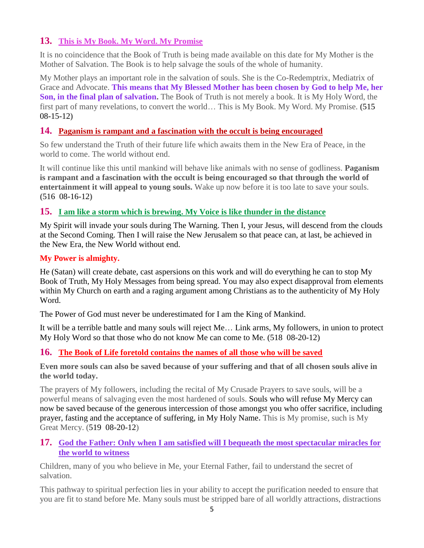# **13. [This is My Book. My Word. My Promise](http://www.thewarningsecondcoming.com/this-is-my-book-my-word-my-promise/)**

It is no coincidence that the Book of Truth is being made available on this date for My Mother is the Mother of Salvation. The Book is to help salvage the souls of the whole of humanity.

My Mother plays an important role in the salvation of souls. She is the Co-Redemptrix, Mediatrix of Grace and Advocate. **This means that My Blessed Mother has been chosen by God to help Me, her Son, in the final plan of salvation.** The Book of Truth is not merely a book. It is My Holy Word, the first part of many revelations, to convert the world… This is My Book. My Word. My Promise. **(**515 08-15-12**)**

# **14. [Paganism is rampant and a fascination with the occult is being encouraged](http://www.thewarningsecondcoming.com/paganism-is-rampant-and-a-fascination-with-the-occult-is-being-encouraged/)**

So few understand the Truth of their future life which awaits them in the New Era of Peace, in the world to come. The world without end.

It will continue like this until mankind will behave like animals with no sense of godliness. **Paganism is rampant and a fascination with the occult is being encouraged so that through the world of entertainment it will appeal to young souls.** Wake up now before it is too late to save your souls. **(**516 08-16-12**)**

# **15. [I am like a storm which is brewing. My Voice is like thunder in the distance](http://www.thewarningsecondcoming.com/i-am-like-a-storm-which-is-brewing-my-voice-is-like-thunder-in-the-distance/)**

My Spirit will invade your souls during The Warning. Then I, your Jesus, will descend from the clouds at the Second Coming. Then I will raise the New Jerusalem so that peace can, at last, be achieved in the New Era, the New World without end.

# **My Power is almighty.**

He (Satan) will create debate, cast aspersions on this work and will do everything he can to stop My Book of Truth, My Holy Messages from being spread. You may also expect disapproval from elements within My Church on earth and a raging argument among Christians as to the authenticity of My Holy Word.

The Power of God must never be underestimated for I am the King of Mankind.

It will be a terrible battle and many souls will reject Me… Link arms, My followers, in union to protect My Holy Word so that those who do not know Me can come to Me. (518 08-20-12)

# **16. [The Book of Life foretold contains the names of all those who will be saved](http://www.thewarningsecondcoming.com/the-book-of-life-foretold-contains-the-names-of-all-those-who-will-be-saved/)**

**Even more souls can also be saved because of your suffering and that of all chosen souls alive in the world today.**

The prayers of My followers, including the recital of My Crusade Prayers to save souls, will be a powerful means of salvaging even the most hardened of souls. Souls who will refuse My Mercy can now be saved because of the generous intercession of those amongst you who offer sacrifice, including prayer, fasting and the acceptance of suffering, in My Holy Name**.** This is My promise, such is My Great Mercy. (519 08-20-12)

# **17. [God the Father: Only when I am satisfied will I bequeath the most spectacular miracles for](http://www.thewarningsecondcoming.com/god-the-father-only-when-i-am-satisfied-will-i-bequeath-the-most-spectacular-miracles-for-the-world-to-witness/)  [the world to witness](http://www.thewarningsecondcoming.com/god-the-father-only-when-i-am-satisfied-will-i-bequeath-the-most-spectacular-miracles-for-the-world-to-witness/)**

Children, many of you who believe in Me, your Eternal Father, fail to understand the secret of salvation.

This pathway to spiritual perfection lies in your ability to accept the purification needed to ensure that you are fit to stand before Me. Many souls must be stripped bare of all worldly attractions, distractions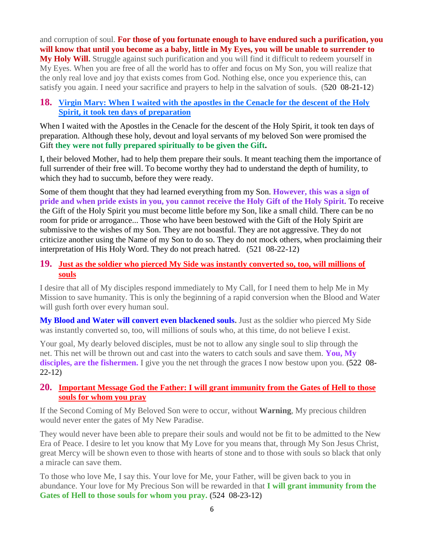and corruption of soul. **For those of you fortunate enough to have endured such a purification, you will know that until you become as a baby, little in My Eyes, you will be unable to surrender to My Holy Will.** Struggle against such purification and you will find it difficult to redeem yourself in My Eyes. When you are free of all the world has to offer and focus on My Son, you will realize that the only real love and joy that exists comes from God. Nothing else, once you experience this, can satisfy you again. I need your sacrifice and prayers to help in the salvation of souls. (520 08-21-12)

#### **18. [Virgin Mary: When I waited with the apostles in the Cenacle for the descent of the Holy](http://www.thewarningsecondcoming.com/virgin-mary-when-i-waited-with-the-apostles-in-the-cenacle-for-the-descent-of-the-holy-spirit-it-took-ten-days-of-preparation/)  Spirit, [it took ten days of preparation](http://www.thewarningsecondcoming.com/virgin-mary-when-i-waited-with-the-apostles-in-the-cenacle-for-the-descent-of-the-holy-spirit-it-took-ten-days-of-preparation/)**

When I waited with the Apostles in the Cenacle for the descent of the Holy Spirit, it took ten days of preparation. Although these holy, devout and loyal servants of my beloved Son were promised the Gift **they were not fully prepared spiritually to be given the Gift.**

I, their beloved Mother, had to help them prepare their souls. It meant teaching them the importance of full surrender of their free will. To become worthy they had to understand the depth of humility, to which they had to succumb, before they were ready.

Some of them thought that they had learned everything from my Son. **However, this was a sign of pride and when pride exists in you, you cannot receive the Holy Gift of the Holy Spirit.** To receive the Gift of the Holy Spirit you must become little before my Son, like a small child. There can be no room for pride or arrogance... Those who have been bestowed with the Gift of the Holy Spirit are submissive to the wishes of my Son. They are not boastful. They are not aggressive. They do not criticize another using the Name of my Son to do so. They do not mock others, when proclaiming their interpretation of His Holy Word. They do not preach hatred. (521 08-22-12)

#### **19. [Just as the soldier who pierced My Side was instantly converted so, too, will millions of](http://www.thewarningsecondcoming.com/just-as-the-soldier-who-pierced-my-side-was-instantly-converted-so-too-will-millions-of-souls/)  [souls](http://www.thewarningsecondcoming.com/just-as-the-soldier-who-pierced-my-side-was-instantly-converted-so-too-will-millions-of-souls/)**

I desire that all of My disciples respond immediately to My Call, for I need them to help Me in My Mission to save humanity. This is only the beginning of a rapid conversion when the Blood and Water will gush forth over every human soul.

**My Blood and Water will convert even blackened souls.** Just as the soldier who pierced My Side was instantly converted so, too, will millions of souls who, at this time, do not believe I exist.

Your goal, My dearly beloved disciples, must be not to allow any single soul to slip through the net. This net will be thrown out and cast into the waters to catch souls and save them. **You, My disciples, are the fishermen.** I give you the net through the graces I now bestow upon you. **(**522 08- 22-12**)**

# **20. [Important Message God the Father: I will grant immunity from the Gates of Hell to those](http://www.thewarningsecondcoming.com/important-message-god-the-father-i-will-grant-immunity-from-the-gates-of-hell-to-those-souls-for-whom-you-pray/)  [souls for whom you pray](http://www.thewarningsecondcoming.com/important-message-god-the-father-i-will-grant-immunity-from-the-gates-of-hell-to-those-souls-for-whom-you-pray/)**

If the Second Coming of My Beloved Son were to occur, without **Warning**, My precious children would never enter the gates of My New Paradise.

They would never have been able to prepare their souls and would not be fit to be admitted to the New Era of Peace. I desire to let you know that My Love for you means that, through My Son Jesus Christ, great Mercy will be shown even to those with hearts of stone and to those with souls so black that only a miracle can save them.

To those who love Me, I say this. Your love for Me, your Father, will be given back to you in abundance. Your love for My Precious Son will be rewarded in that **I will grant immunity from the Gates of Hell to those souls for whom you pray. (**524 08-23-12**)**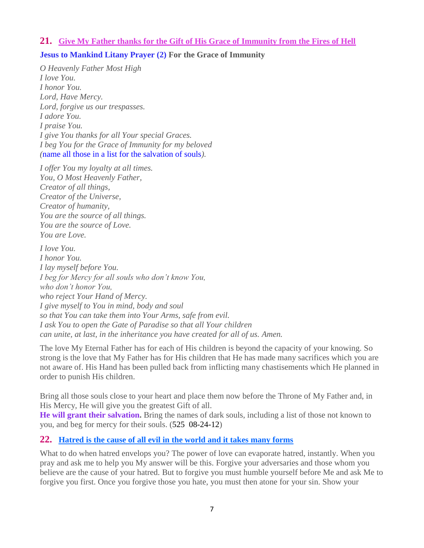#### **21. Give My Father [thanks for the Gift of His Grace of Immunity from the Fires of Hell](http://www.thewarningsecondcoming.com/give-my-father-thanks-for-the-gift-of-his-grace-of-immunity-from-the-fires-of-hell/)**

# **Jesus to Mankind Litany Prayer (2) For the Grace of Immunity**

*O Heavenly Father Most High I love You. I honor You. Lord, Have Mercy. Lord, forgive us our trespasses. I adore You. I praise You. I give You thanks for all Your special Graces. I beg You for the Grace of Immunity for my beloved (*name all those in a list for the salvation of souls*).*

*I offer You my loyalty at all times. You, O Most Heavenly Father, Creator of all things, Creator of the Universe, Creator of humanity, You are the source of all things. You are the source of Love. You are Love.*

*I love You. I honor You. I lay myself before You. I beg for Mercy for all souls who don't know You, who don't honor You, who reject Your Hand of Mercy. I give myself to You in mind, body and soul so that You can take them into Your Arms, safe from evil. I ask You to open the Gate of Paradise so that all Your children can unite, at last, in the inheritance you have created for all of us. Amen.*

The love My Eternal Father has for each of His children is beyond the capacity of your knowing. So strong is the love that My Father has for His children that He has made many sacrifices which you are not aware of. His Hand has been pulled back from inflicting many chastisements which He planned in order to punish His children.

Bring all those souls close to your heart and place them now before the Throne of My Father and, in His Mercy, He will give you the greatest Gift of all.

**He will grant their salvation.** Bring the names of dark souls, including a list of those not known to you, and beg for mercy for their souls. (525 08-24-12)

#### **22. [Hatred is the cause of all evil in the world and it takes many forms](http://www.thewarningsecondcoming.com/hatred-is-the-cause-of-all-evil-in-the-world-and-it-takes-many-forms/)**

What to do when hatred envelops you? The power of love can evaporate hatred, instantly. When you pray and ask me to help you My answer will be this. Forgive your adversaries and those whom you believe are the cause of your hatred. But to forgive you must humble yourself before Me and ask Me to forgive you first. Once you forgive those you hate, you must then atone for your sin. Show your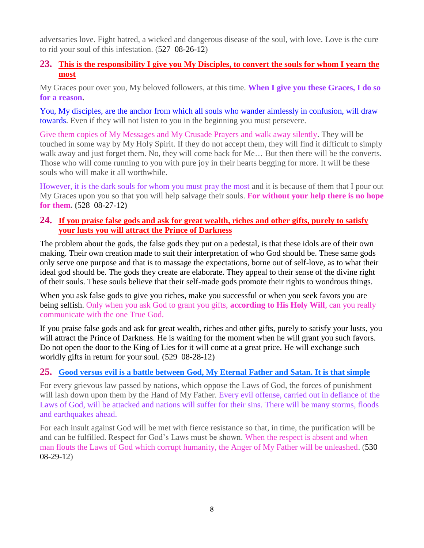adversaries love. Fight hatred, a wicked and dangerous disease of the soul, with love. Love is the cure to rid your soul of this infestation. (527 08-26-12)

# **23. [This is the responsibility I give you My Disciples, to convert the souls for whom I yearn the](http://www.thewarningsecondcoming.com/this-is-the-responsibility-i-give-you-my-disciples-to-convert-the-souls-for-whom-i-yearn-the-most/)  [most](http://www.thewarningsecondcoming.com/this-is-the-responsibility-i-give-you-my-disciples-to-convert-the-souls-for-whom-i-yearn-the-most/)**

My Graces pour over you, My beloved followers, at this time. **When I give you these Graces, I do so for a reason.**

You, My disciples, are the anchor from which all souls who wander aimlessly in confusion, will draw towards. Even if they will not listen to you in the beginning you must persevere.

Give them copies of My Messages and My Crusade Prayers and walk away silently. They will be touched in some way by My Holy Spirit. If they do not accept them, they will find it difficult to simply walk away and just forget them. No, they will come back for Me... But then there will be the converts. Those who will come running to you with pure joy in their hearts begging for more. It will be these souls who will make it all worthwhile.

However, it is the dark souls for whom you must pray the most and it is because of them that I pour out My Graces upon you so that you will help salvage their souls. **For without your help there is no hope for them. (**528 08-27-12**)**

#### **24. [If you praise false gods and ask for great wealth, riches and other gifts, purely to satisfy](http://www.thewarningsecondcoming.com/if-you-praise-false-gods-and-ask-for-great-wealth-riches-and-other-gifts-purely-to-satisfy-your-lusts-you-will-attract-the-prince-of-darkness/)  [your lusts you will attract the Prince of Darkness](http://www.thewarningsecondcoming.com/if-you-praise-false-gods-and-ask-for-great-wealth-riches-and-other-gifts-purely-to-satisfy-your-lusts-you-will-attract-the-prince-of-darkness/)**

The problem about the gods, the false gods they put on a pedestal, is that these idols are of their own making. Their own creation made to suit their interpretation of who God should be. These same gods only serve one purpose and that is to massage the expectations, borne out of self-love, as to what their ideal god should be. The gods they create are elaborate. They appeal to their sense of the divine right of their souls. These souls believe that their self-made gods promote their rights to wondrous things.

When you ask false gods to give you riches, make you successful or when you seek favors you are being selfish. Only when you ask God to grant you gifts, **according to His Holy Will**, can you really communicate with the one True God.

If you praise false gods and ask for great wealth, riches and other gifts, purely to satisfy your lusts, you will attract the Prince of Darkness. He is waiting for the moment when he will grant you such favors. Do not open the door to the King of Lies for it will come at a great price. He will exchange such worldly gifts in return for your soul. (529 08-28-12)

# **25. [Good versus evil is a battle between God, My Eternal Father and Satan. It is that simple](http://www.thewarningsecondcoming.com/good-versus-evil-is-a-battle-between-god-my-eternal-father-and-satan-it-is-that-simple/)**

For every grievous law passed by nations, which oppose the Laws of God, the forces of punishment will lash down upon them by the Hand of My Father. Every evil offense, carried out in defiance of the Laws of God, will be attacked and nations will suffer for their sins. There will be many storms, floods and earthquakes ahead.

For each insult against God will be met with fierce resistance so that, in time, the purification will be and can be fulfilled. Respect for God's Laws must be shown. When the respect is absent and when man flouts the Laws of God which corrupt humanity, the Anger of My Father will be unleashed. (530 08-29-12)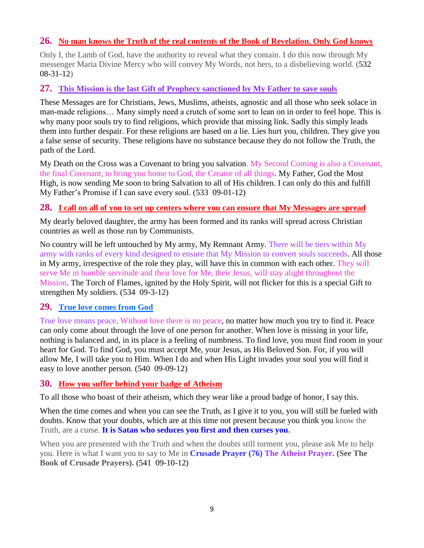# **26. [No man knows the Truth of the real contents of the Book of Revelation. Only God knows](http://www.thewarningsecondcoming.com/no-man-knows-the-truth-of-the-real-contents-of-the-book-of-revelation-only-god-knows/)**

Only I, the Lamb of God, have the authority to reveal what they contain. I do this now through My messenger Maria Divine Mercy who will convey My Words, not hers, to a disbelieving world. (532 08-31-12)

#### **27. [This Mission is the last Gift of Prophecy sanctioned by My Father to save souls](http://www.thewarningsecondcoming.com/this-mission-is-the-last-gift-of-prophecy-sanctioned-by-my-father-to-save-souls/)**

These Messages are for Christians, Jews, Muslims, atheists, agnostic and all those who seek solace in man-made religions… Many simply need a crutch of some sort to lean on in order to feel hope. This is why many poor souls try to find religions, which provide that missing link. Sadly this simply leads them into further despair. For these religions are based on a lie. Lies hurt you, children. They give you a false sense of security. These religions have no substance because they do not follow the Truth, the path of the Lord.

My Death on the Cross was a Covenant to bring you salvation. My Second Coming is also a Covenant, the final Covenant, to bring you home to God, the Creator of all things. My Father, God the Most High, is now sending Me soon to bring Salvation to all of His children. I can only do this and fulfill My Father's Promise if I can save every soul. (533 09-01-12)

#### **28. [I call on all of you to set up centers where you can ensure that My Messages are spread](http://www.thewarningsecondcoming.com/i-call-on-all-of-you-to-set-up-centres-where-you-can-ensure-that-my-messages-are-spread/)**

My dearly beloved daughter, the army has been formed and its ranks will spread across Christian countries as well as those run by Communists.

No country will be left untouched by My army, My Remnant Army. There will be tiers within My army with ranks of every kind designed to ensure that My Mission to convert souls succeeds. All those in My army, irrespective of the role they play, will have this in common with each other. They will serve Me in humble servitude and their love for Me, their Jesus, will stay alight throughout the Mission. The Torch of Flames, ignited by the Holy Spirit, will not flicker for this is a special Gift to strengthen My soldiers. (534 09-3-12)

# **29. [True love comes from God](http://www.thewarningsecondcoming.com/true-love-comes-from-god-when-a-person-does-not-love-god-enough-they-are-incapable-of-loving-another-human-being-in-the-fullness-of-true-love/)**

True love means peace. Without love there is no peace, no matter how much you try to find it. Peace can only come about through the love of one person for another. When love is missing in your life, nothing is balanced and, in its place is a feeling of numbness. To find love, you must find room in your heart for God. To find God, you must accept Me, your Jesus, as His Beloved Son. For, if you will allow Me, I will take you to Him. When I do and when His Light invades your soul you will find it easy to love another person. (540 09-09-12)

#### **30. [How you suffer behind your badge of Atheism](http://www.thewarningsecondcoming.com/how-you-suffer-behind-your-badge-of-atheism/)**

To all those who boast of their atheism, which they wear like a proud badge of honor, I say this.

When the time comes and when you can see the Truth, as I give it to you, you will still be fueled with doubts. Know that your doubts, which are at this time not present because you think you know the Truth, are a curse. **It is Satan who seduces you first and then curses you.**

When you are presented with the Truth and when the doubts still torment you, please ask Me to help you. Here is what I want you to say to Me in **Crusade Prayer (76) The Atheist Prayer. (See The Book of Crusade Prayers). (**541 09-10-12**)**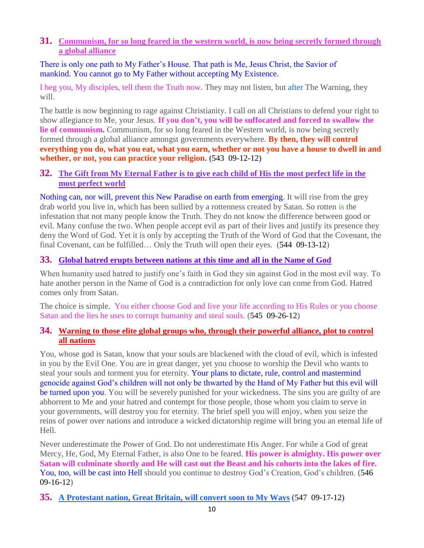#### **31. [Communism, for so long feared in the western world, is now being secretly formed through](http://www.thewarningsecondcoming.com/communism-for-so-long-feared-in-the-western-world-is-now-being-secretly-formed-through-a-global-alliance/)  [a global alliance](http://www.thewarningsecondcoming.com/communism-for-so-long-feared-in-the-western-world-is-now-being-secretly-formed-through-a-global-alliance/)**

There is only one path to My Father's House. That path is Me, Jesus Christ, the Savior of mankind. You cannot go to My Father without accepting My Existence.

I beg you, My disciples, tell them the Truth now. They may not listen, but after The Warning, they will.

The battle is now beginning to rage against Christianity. I call on all Christians to defend your right to show allegiance to Me, your Jesus. **If you don't, you will be suffocated and forced to swallow the lie of communism.** Communism, for so long feared in the Western world, is now being secretly formed through a global alliance amongst governments everywhere. **By then, they will control everything you do, what you eat, what you earn, whether or not you have a house to dwell in and whether, or not, you can practice your religion. (**543 09-12-12**)**

#### **32. [The Gift from My Eternal Father is to give each child of His the most perfect life in the](http://www.thewarningsecondcoming.com/the-gift-from-my-eternal-father-is-to-give-each-child-of-his-the-most-perfect-life-in-the-most-perfect-world/)  [most perfect world](http://www.thewarningsecondcoming.com/the-gift-from-my-eternal-father-is-to-give-each-child-of-his-the-most-perfect-life-in-the-most-perfect-world/)**

Nothing can, nor will, prevent this New Paradise on earth from emerging. It will rise from the grey drab world you live in, which has been sullied by a rottenness created by Satan. So rotten is the infestation that not many people know the Truth. They do not know the difference between good or evil. Many confuse the two. When people accept evil as part of their lives and justify its presence they deny the Word of God. Yet it is only by accepting the Truth of the Word of God that the Covenant, the final Covenant, can be fulfilled… Only the Truth will open their eyes. (544 09-13-12)

# **33. [Global hatred erupts between nations at this time and all in the Name of God](http://www.thewarningsecondcoming.com/global-hatred-erupts-between-nations-at-this-time-and-all-in-the-name-of-god/)**

When humanity used hatred to justify one's faith in God they sin against God in the most evil way. To hate another person in the Name of God is a contradiction for only love can come from God. Hatred comes only from Satan.

The choice is simple. You either choose God and live your life according to His Rules or you choose Satan and the lies he uses to corrupt humanity and steal souls. (545 09-26-12)

# **34. [Warning to those elite global groups who, through their powerful alliance, plot to control](http://www.thewarningsecondcoming.com/warning-to-those-elite-global-groups-who-through-their-powerful-alliance-plot-to-control-all-nations/)  [all nations](http://www.thewarningsecondcoming.com/warning-to-those-elite-global-groups-who-through-their-powerful-alliance-plot-to-control-all-nations/)**

You, whose god is Satan, know that your souls are blackened with the cloud of evil, which is infested in you by the Evil One. You are in great danger, yet you choose to worship the Devil who wants to steal your souls and torment you for eternity. Your plans to dictate, rule, control and mastermind genocide against God's children will not only be thwarted by the Hand of My Father but this evil will be turned upon you. You will be severely punished for your wickedness. The sins you are guilty of are abhorrent to Me and your hatred and contempt for those people, those whom you claim to serve in your governments, will destroy you for eternity. The brief spell you will enjoy, when you seize the reins of power over nations and introduce a wicked dictatorship regime will bring you an eternal life of Hell.

Never underestimate the Power of God. Do not underestimate His Anger. For while a God of great Mercy, He, God, My Eternal Father, is also One to be feared. **His power is almighty. His power over Satan will culminate shortly and He will cast out the Beast and his cohorts into the lakes of fire.**  You, too, will be cast into Hell should you continue to destroy God's Creation, God's children. (546 09-16-12)

**35. [A Protestant nation, Great Britain, will convert soon to My Ways](http://www.thewarningsecondcoming.com/a-protestant-nation-great-britain-will-convert-soon-to-my-ways/)** (547 09-17-12)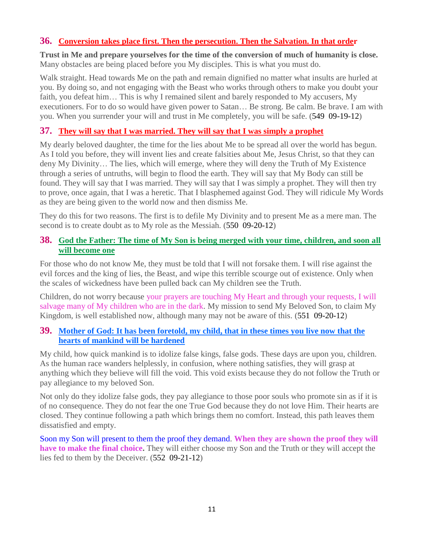# **36. Conversion [takes place first. Then the persecution. Then the Salvation. In that order](http://www.thewarningsecondcoming.com/conversion-takes-place-first-then-the-persecution-then-the-salvation-in-that-order/)**

**Trust in Me and prepare yourselves for the time of the conversion of much of humanity is close.** Many obstacles are being placed before you My disciples. This is what you must do.

Walk straight. Head towards Me on the path and remain dignified no matter what insults are hurled at you. By doing so, and not engaging with the Beast who works through others to make you doubt your faith, you defeat him… This is why I remained silent and barely responded to My accusers, My executioners. For to do so would have given power to Satan… Be strong. Be calm. Be brave. I am with you. When you surrender your will and trust in Me completely, you will be safe. (549 09-19-12)

# **37. [They will say that I was married. They will say that I was simply a prophet](http://www.thewarningsecondcoming.com/they-will-say-that-i-was-married-they-will-say-that-i-was-simply-a-prophet/)**

My dearly beloved daughter, the time for the lies about Me to be spread all over the world has begun. As I told you before, they will invent lies and create falsities about Me, Jesus Christ, so that they can deny My Divinity… The lies, which will emerge, where they will deny the Truth of My Existence through a series of untruths, will begin to flood the earth. They will say that My Body can still be found. They will say that I was married. They will say that I was simply a prophet. They will then try to prove, once again, that I was a heretic. That I blasphemed against God. They will ridicule My Words as they are being given to the world now and then dismiss Me.

They do this for two reasons. The first is to defile My Divinity and to present Me as a mere man. The second is to create doubt as to My role as the Messiah. (550 09-20-12)

#### **38. [God the Father: The time of My Son is being merged with your time, children, and soon all](http://www.thewarningsecondcoming.com/god-the-father-the-time-of-my-son-is-being-merged-with-your-time-children-and-soon-all-will-become-one-2/)  [will become one](http://www.thewarningsecondcoming.com/god-the-father-the-time-of-my-son-is-being-merged-with-your-time-children-and-soon-all-will-become-one-2/)**

For those who do not know Me, they must be told that I will not forsake them. I will rise against the evil forces and the king of lies, the Beast, and wipe this terrible scourge out of existence. Only when the scales of wickedness have been pulled back can My children see the Truth.

Children, do not worry because your prayers are touching My Heart and through your requests, I will salvage many of My children who are in the dark. My mission to send My Beloved Son, to claim My Kingdom, is well established now, although many may not be aware of this. (551 09-20-12)

#### **39. [Mother of God: It has been foretold, my child, that in these times you live now that the](http://www.thewarningsecondcoming.com/mother-of-god-it-has-been-foretold-my-child-that-in-these-times-you-live-now-that-the-hearts-of-mankind-will-be-hardened/)  [hearts of mankind will be hardened](http://www.thewarningsecondcoming.com/mother-of-god-it-has-been-foretold-my-child-that-in-these-times-you-live-now-that-the-hearts-of-mankind-will-be-hardened/)**

My child, how quick mankind is to idolize false kings, false gods. These days are upon you, children. As the human race wanders helplessly, in confusion, where nothing satisfies, they will grasp at anything which they believe will fill the void. This void exists because they do not follow the Truth or pay allegiance to my beloved Son.

Not only do they idolize false gods, they pay allegiance to those poor souls who promote sin as if it is of no consequence. They do not fear the one True God because they do not love Him. Their hearts are closed. They continue following a path which brings them no comfort. Instead, this path leaves them dissatisfied and empty.

Soon my Son will present to them the proof they demand. **When they are shown the proof they will have to make the final choice.** They will either choose my Son and the Truth or they will accept the lies fed to them by the Deceiver. (552 09-21-12)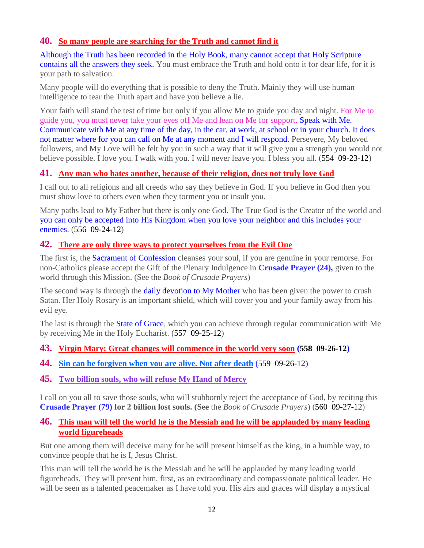# **40. [So many people are searching for the Truth and cannot find it](http://www.thewarningsecondcoming.com/so-many-people-are-searching-for-the-truth-and-cannot-find-it/)**

Although the Truth has been recorded in the Holy Book, many cannot accept that Holy Scripture contains all the answers they seek. You must embrace the Truth and hold onto it for dear life, for it is your path to salvation.

Many people will do everything that is possible to deny the Truth. Mainly they will use human intelligence to tear the Truth apart and have you believe a lie.

Your faith will stand the test of time but only if you allow Me to guide you day and night. For Me to guide you, you must never take your eyes off Me and lean on Me for support. Speak with Me. Communicate with Me at any time of the day, in the car, at work, at school or in your church. It does not matter where for you can call on Me at any moment and I will respond. Persevere, My beloved followers, and My Love will be felt by you in such a way that it will give you a strength you would not believe possible. I love you. I walk with you. I will never leave you. I bless you all. (554 09-23-12)

# **41. [Any man who hates another, because of their religion, does not truly love God](http://www.thewarningsecondcoming.com/any-man-who-hates-another-because-of-their-religion-does-not-truly-love-god/)**

I call out to all religions and all creeds who say they believe in God. If you believe in God then you must show love to others even when they torment you or insult you.

Many paths lead to My Father but there is only one God. The True God is the Creator of the world and you can only be accepted into His Kingdom when you love your neighbor and this includes your enemies. (556 09-24-12)

#### **42. [There are only three ways to protect yourselves from the Evil One](http://www.thewarningsecondcoming.com/there-are-only-three-ways-to-protect-yourselves-from-the-evil-one/)**

The first is, the **Sacrament of Confession** cleanses your soul, if you are genuine in your remorse. For non-Catholics please accept the Gift of the Plenary Indulgence in **Crusade Prayer (24),** given to the world through this Mission. (See the *Book of Crusade Prayers*)

The second way is through the daily devotion to My Mother who has been given the power to crush Satan. Her Holy Rosary is an important shield, which will cover you and your family away from his evil eye.

The last is through the State of Grace, which you can achieve through regular communication with Me by receiving Me in the Holy Eucharist. (557 09-25-12)

**43. [Virgin Mary: Great changes will commence in the world](http://www.thewarningsecondcoming.com/virgin-mary-great-changes-will-commence-in-the-world-very-soon/) very soon (558 09-26-12)**

- **44. [Sin can be forgiven when you are alive. Not after death](http://www.thewarningsecondcoming.com/sin-can-be-forgiven-when-you-are-alive-not-after-death/)** (559 09-26-12)
- **45. [Two billion souls, who will refuse My Hand of Mercy](http://www.thewarningsecondcoming.com/two-billion-souls-who-will-refuse-my-hand-of-mercy/)**

I call on you all to save those souls, who will stubbornly reject the acceptance of God, by reciting this **Crusade Prayer (79) for 2 billion lost souls. (See** the *Book of Crusade Prayers*) (560 09-27-12)

#### **46. [This man will tell the world he is the Messiah and he will be applauded by many leading](http://www.thewarningsecondcoming.com/this-man-will-tell-the-world-he-is-the-messiah-and-he-will-be-applauded-by-many-leading-world-figureheads/)  [world figureheads](http://www.thewarningsecondcoming.com/this-man-will-tell-the-world-he-is-the-messiah-and-he-will-be-applauded-by-many-leading-world-figureheads/)**

But one among them will deceive many for he will present himself as the king, in a humble way, to convince people that he is I, Jesus Christ.

This man will tell the world he is the Messiah and he will be applauded by many leading world figureheads. They will present him, first, as an extraordinary and compassionate political leader. He will be seen as a talented peacemaker as I have told you. His airs and graces will display a mystical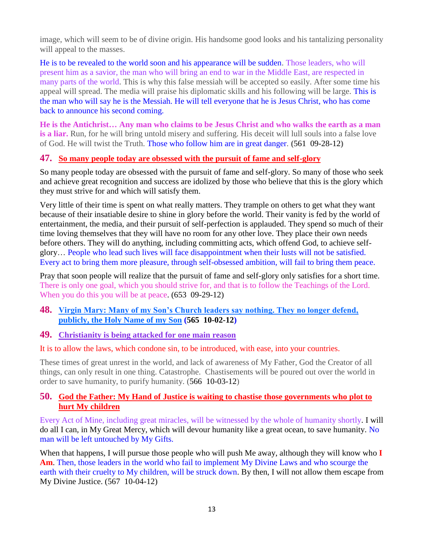image, which will seem to be of divine origin. His handsome good looks and his tantalizing personality will appeal to the masses.

He is to be revealed to the world soon and his appearance will be sudden. Those leaders, who will present him as a savior, the man who will bring an end to war in the Middle East, are respected in many parts of the world. This is why this false messiah will be accepted so easily. After some time his appeal will spread. The media will praise his diplomatic skills and his following will be large. This is the man who will say he is the Messiah. He will tell everyone that he is Jesus Christ, who has come back to announce his second coming.

**He is the Antichrist… Any man who claims to be Jesus Christ and who walks the earth as a man is a liar.** Run, for he will bring untold misery and suffering. His deceit will lull souls into a false love of God. He will twist the Truth. Those who follow him are in great danger. **(**561 09-28-12**)**

#### **47. [So many people today are obsessed with the pursuit of fame and self-glory](http://www.thewarningsecondcoming.com/so-many-people-today-are-obsessed-with-the-pursuit-of-fame-and-self-glory/)**

So many people today are obsessed with the pursuit of fame and self-glory. So many of those who seek and achieve great recognition and success are idolized by those who believe that this is the glory which they must strive for and which will satisfy them.

Very little of their time is spent on what really matters. They trample on others to get what they want because of their insatiable desire to shine in glory before the world. Their vanity is fed by the world of entertainment, the media, and their pursuit of self-perfection is applauded. They spend so much of their time loving themselves that they will have no room for any other love. They place their own needs before others. They will do anything, including committing acts, which offend God, to achieve selfglory… People who lead such lives will face disappointment when their lusts will not be satisfied. Every act to bring them more pleasure, through self-obsessed ambition, will fail to bring them peace.

Pray that soon people will realize that the pursuit of fame and self-glory only satisfies for a short time. There is only one goal, which you should strive for, and that is to follow the Teachings of the Lord. When you do this you will be at peace. (653 09-29-12)

#### **48. [Virgin Mary: Many of my Son's Church leaders say nothing. They no longer defend,](http://www.thewarningsecondcoming.com/virgin-mary-many-of-my-sons-church-leaders-say-nothing-they-no-longer-defend-publicly-the-holy-name-of-my-son/)  [publicly, the Holy Name of my Son](http://www.thewarningsecondcoming.com/virgin-mary-many-of-my-sons-church-leaders-say-nothing-they-no-longer-defend-publicly-the-holy-name-of-my-son/) (565 10-02-12)**

**49. [Christianity is being attacked for one main reason](http://www.thewarningsecondcoming.com/christianity-is-being-attacked-for-one-main-reason/)**

#### It is to allow the laws, which condone sin, to be introduced, with ease, into your countries.

These times of great unrest in the world, and lack of awareness of My Father, God the Creator of all things, can only result in one thing. Catastrophe. Chastisements will be poured out over the world in order to save humanity, to purify humanity. (566 10-03-12)

#### **50. [God the Father: My Hand of Justice is waiting to chastise those governments who plot to](http://www.thewarningsecondcoming.com/god-the-father-my-hand-of-justice-is-waiting-to-chastise-those-governments-who-plot-to-hurt-my-children/)  [hurt My children](http://www.thewarningsecondcoming.com/god-the-father-my-hand-of-justice-is-waiting-to-chastise-those-governments-who-plot-to-hurt-my-children/)**

Every Act of Mine, including great miracles, will be witnessed by the whole of humanity shortly. I will do all I can, in My Great Mercy, which will devour humanity like a great ocean, to save humanity. No man will be left untouched by My Gifts.

When that happens, I will pursue those people who will push Me away, although they will know who **I Am**. Then, those leaders in the world who fail to implement My Divine Laws and who scourge the earth with their cruelty to My children, will be struck down. By then, I will not allow them escape from My Divine Justice. (567 10-04-12)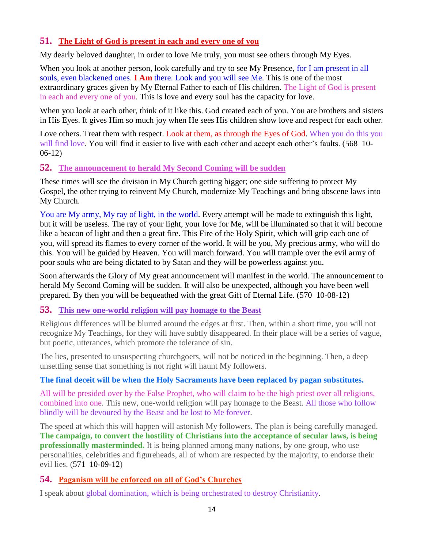# **51. [The Light of God is present in each and every one of you](http://www.thewarningsecondcoming.com/the-light-of-god-is-present-in-each-and-every-one-of-you/)**

My dearly beloved daughter, in order to love Me truly, you must see others through My Eyes.

When you look at another person, look carefully and try to see My Presence, for I am present in all souls, even blackened ones. **I Am** there. Look and you will see Me. This is one of the most extraordinary graces given by My Eternal Father to each of His children. The Light of God is present in each and every one of you. This is love and every soul has the capacity for love.

When you look at each other, think of it like this. God created each of you. You are brothers and sisters in His Eyes. It gives Him so much joy when He sees His children show love and respect for each other.

Love others. Treat them with respect. Look at them, as through the Eyes of God. When you do this you will find love. You will find it easier to live with each other and accept each other's faults. (568 10-06-12)

# **52. [The announcement to herald My Second Coming](http://www.thewarningsecondcoming.com/the-announcement-to-herald-my-second-coming-will-be-sudden/) will be sudden**

These times will see the division in My Church getting bigger; one side suffering to protect My Gospel, the other trying to reinvent My Church, modernize My Teachings and bring obscene laws into My Church.

You are My army, My ray of light, in the world. Every attempt will be made to extinguish this light, but it will be useless. The ray of your light, your love for Me, will be illuminated so that it will become like a beacon of light and then a great fire. This Fire of the Holy Spirit, which will grip each one of you, will spread its flames to every corner of the world. It will be you, My precious army, who will do this. You will be guided by Heaven. You will march forward. You will trample over the evil army of poor souls who are being dictated to by Satan and they will be powerless against you.

Soon afterwards the Glory of My great announcement will manifest in the world. The announcement to herald My Second Coming will be sudden. It will also be unexpected, although you have been well prepared. By then you will be bequeathed with the great Gift of Eternal Life. (570 10-08-12)

# **53. [This new one-world religion will pay homage to the Beast](http://www.thewarningsecondcoming.com/this-new-one-world-religion-will-pay-homage-to-the-beast/)**

Religious differences will be blurred around the edges at first. Then, within a short time, you will not recognize My Teachings, for they will have subtly disappeared. In their place will be a series of vague, but poetic, utterances, which promote the tolerance of sin.

The lies, presented to unsuspecting churchgoers, will not be noticed in the beginning. Then, a deep unsettling sense that something is not right will haunt My followers.

#### **The final deceit will be when the Holy Sacraments have been replaced by pagan substitutes.**

All will be presided over by the False Prophet, who will claim to be the high priest over all religions, combined into one. This new, one-world religion will pay homage to the Beast. All those who follow blindly will be devoured by the Beast and be lost to Me forever.

The speed at which this will happen will astonish My followers. The plan is being carefully managed. **The campaign, to convert the hostility of Christians into the acceptance of secular laws, is being professionally masterminded.** It is being planned among many nations, by one group, who use personalities, celebrities and figureheads, all of whom are respected by the majority, to endorse their evil lies. (571 10-09-12)

# **54. [Paganism will be enforced on all of God's Churches](http://www.thewarningsecondcoming.com/paganism-will-be-enforced-on-all-of-gods-churches/)**

I speak about global domination, which is being orchestrated to destroy Christianity.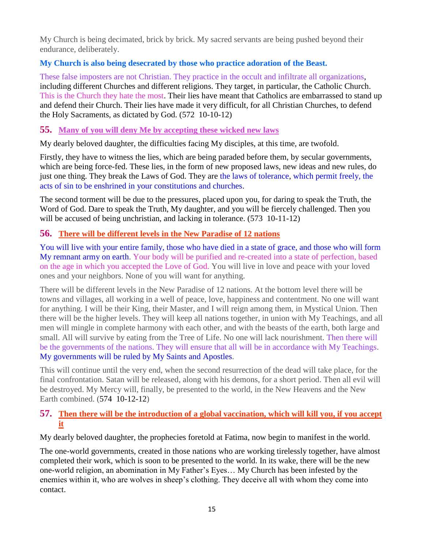My Church is being decimated, brick by brick. My sacred servants are being pushed beyond their endurance, deliberately.

# **My Church is also being desecrated by those who practice adoration of the Beast.**

These false imposters are not Christian. They practice in the occult and infiltrate all organizations, including different Churches and different religions. They target, in particular, the Catholic Church. This is the Church they hate the most. Their lies have meant that Catholics are embarrassed to stand up and defend their Church. Their lies have made it very difficult, for all Christian Churches, to defend the Holy Sacraments, as dictated by God. (572 10-10-12)

#### **55. [Many of you will deny Me by accepting these wicked new laws](http://www.thewarningsecondcoming.com/many-of-you-will-deny-me-by-accepting-these-wicked-new-laws/)**

My dearly beloved daughter, the difficulties facing My disciples, at this time, are twofold.

Firstly, they have to witness the lies, which are being paraded before them, by secular governments, which are being force-fed. These lies, in the form of new proposed laws, new ideas and new rules, do just one thing. They break the Laws of God. They are the laws of tolerance, which permit freely, the acts of sin to be enshrined in your constitutions and churches.

The second torment will be due to the pressures, placed upon you, for daring to speak the Truth, the Word of God. Dare to speak the Truth, My daughter, and you will be fiercely challenged. Then you will be accused of being unchristian, and lacking in tolerance. (573 10-11-12)

# **56. [There will be different levels in the New Paradise of 12 nations](http://www.thewarningsecondcoming.com/there-will-be-different-levels-in-the-new-paradise-of-12-nations/)**

You will live with your entire family, those who have died in a state of grace, and those who will form My remnant army on earth. Your body will be purified and re-created into a state of perfection, based on the age in which you accepted the Love of God. You will live in love and peace with your loved ones and your neighbors. None of you will want for anything.

There will be different levels in the New Paradise of 12 nations. At the bottom level there will be towns and villages, all working in a well of peace, love, happiness and contentment. No one will want for anything. I will be their King, their Master, and I will reign among them, in Mystical Union. Then there will be the higher levels. They will keep all nations together, in union with My Teachings, and all men will mingle in complete harmony with each other, and with the beasts of the earth, both large and small. All will survive by eating from the Tree of Life. No one will lack nourishment. Then there will be the governments of the nations. They will ensure that all will be in accordance with My Teachings. My governments will be ruled by My Saints and Apostles.

This will continue until the very end, when the second resurrection of the dead will take place, for the final confrontation. Satan will be released, along with his demons, for a short period. Then all evil will be destroyed. My Mercy will, finally, be presented to the world, in the New Heavens and the New Earth combined. (574 10-12-12)

# **57. [Then there will be the introduction of a global vaccination, which will kill you, if you accept](http://www.thewarningsecondcoming.com/then-there-will-be-the-introduction-of-a-global-vaccination-which-will-kill-you-if-you-accept-it/)  [it](http://www.thewarningsecondcoming.com/then-there-will-be-the-introduction-of-a-global-vaccination-which-will-kill-you-if-you-accept-it/)**

My dearly beloved daughter, the prophecies foretold at Fatima, now begin to manifest in the world.

The one-world governments, created in those nations who are working tirelessly together, have almost completed their work, which is soon to be presented to the world. In its wake, there will be the new one-world religion, an abomination in My Father's Eyes… My Church has been infested by the enemies within it, who are wolves in sheep's clothing. They deceive all with whom they come into contact.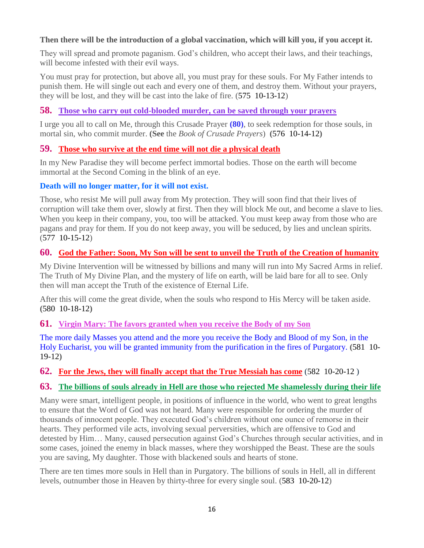# **Then there will be the introduction of a global vaccination, which will kill you, if you accept it.**

They will spread and promote paganism. God's children, who accept their laws, and their teachings, will become infested with their evil ways.

You must pray for protection, but above all, you must pray for these souls. For My Father intends to punish them. He will single out each and every one of them, and destroy them. Without your prayers, they will be lost, and they will be cast into the lake of fire. (575 10-13-12)

# **58. [Those who carry out cold-blooded murder, can be saved through your prayers](http://www.thewarningsecondcoming.com/those-who-carry-out-cold-blooded-murder-can-be-saved-through-your-prayers/)**

I urge you all to call on Me, through this Crusade Prayer **(80)**, to seek redemption for those souls, in mortal sin, who commit murder. **(See** the *Book of Crusade Prayers*) **(**576 10-14-12**)**

# **59. [Those who survive at the end time will not die a physical death](http://www.thewarningsecondcoming.com/those-who-survive-at-the-end-time-will-not-die-a-physical-death/)**

In my New Paradise they will become perfect immortal bodies. Those on the earth will become immortal at the Second Coming in the blink of an eye.

#### **Death will no longer matter, for it will not exist.**

Those, who resist Me will pull away from My protection. They will soon find that their lives of corruption will take them over, slowly at first. Then they will block Me out, and become a slave to lies. When you keep in their company, you, too will be attacked. You must keep away from those who are pagans and pray for them. If you do not keep away, you will be seduced, by lies and unclean spirits. (577 10-15-12)

# **60. [God the Father: Soon, My Son will be sent to unveil the Truth of the Creation of humanity](http://www.thewarningsecondcoming.com/god-the-father-soon-my-son-will-be-sent-to-unveil-the-truth-of-the-creation-of-humanity/)**

My Divine Intervention will be witnessed by billions and many will run into My Sacred Arms in relief. The Truth of My Divine Plan, and the mystery of life on earth, will be laid bare for all to see. Only then will man accept the Truth of the existence of Eternal Life.

After this will come the great divide, when the souls who respond to His Mercy will be taken aside. **(**580 10-18-12**)**

#### **61. [Virgin Mary: The favors granted when you receive the Body of my Son](http://www.thewarningsecondcoming.com/irgin-mary-the-favovirgin-mary-favours-granted-to-those-who-receive-his-body-and-blood-include-salvation-from-purgatory-if-received-every-day/)**

The more daily Masses you attend and the more you receive the Body and Blood of my Son, in the Holy Eucharist, you will be granted immunity from the purification in the fires of Purgatory. **(**581 10- 19-12**)**

# **62. [For the Jews, they will finally accept that the True Messiah has come](http://www.thewarningsecondcoming.com/for-the-jews-they-will-finally-accept-that-the-true-messiah-has-come/)** (582 10-20-12 )

#### **63. [The billions of souls already in Hell are those who rejected Me shamelessly during their life](http://www.thewarningsecondcoming.com/the-billions-of-souls-already-in-hell-are-those-who-rejected-me-shamelessly-during-their-life/)**

Many were smart, intelligent people, in positions of influence in the world, who went to great lengths to ensure that the Word of God was not heard. Many were responsible for ordering the murder of thousands of innocent people. They executed God's children without one ounce of remorse in their hearts. They performed vile acts, involving sexual perversities, which are offensive to God and detested by Him… Many, caused persecution against God's Churches through secular activities, and in some cases, joined the enemy in black masses, where they worshipped the Beast. These are the souls you are saving, My daughter. Those with blackened souls and hearts of stone.

There are ten times more souls in Hell than in Purgatory. The billions of souls in Hell, all in different levels, outnumber those in Heaven by thirty-three for every single soul. (583 10-20-12)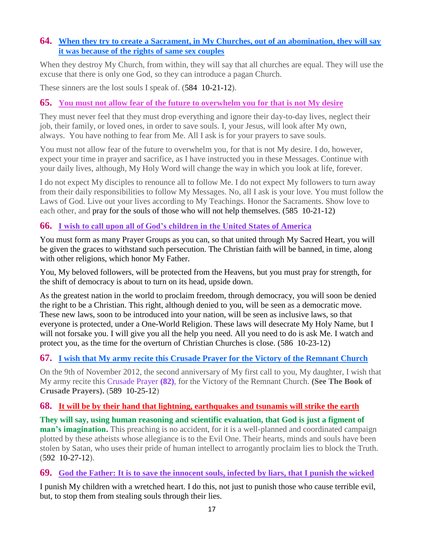# **64. [When they try to create a Sacrament, in My Churches, out of an abomination, they will say](http://www.thewarningsecondcoming.com/when-they-try-to-create-a-sacrament-in-my-churches-out-of-an-abomination-they-will-say-it-was-because-of-the-rights-of-same-sex-couples/)  [it was because of the rights of same sex couples](http://www.thewarningsecondcoming.com/when-they-try-to-create-a-sacrament-in-my-churches-out-of-an-abomination-they-will-say-it-was-because-of-the-rights-of-same-sex-couples/)**

When they destroy My Church, from within, they will say that all churches are equal. They will use the excuse that there is only one God, so they can introduce a pagan Church.

These sinners are the lost souls I speak of. (584 10-21-12).

# **65. [You must not allow fear of the future to overwhelm you for that is not My desire](http://www.thewarningsecondcoming.com/you-must-not-allow-fear-of-the-future-to-overwhelm-you-for-that-is-not-my-desire/)**

They must never feel that they must drop everything and ignore their day-to-day lives, neglect their job, their family, or loved ones, in order to save souls. I, your Jesus, will look after My own, always. You have nothing to fear from Me. All I ask is for your prayers to save souls.

You must not allow fear of the future to overwhelm you, for that is not My desire. I do, however, expect your time in prayer and sacrifice, as I have instructed you in these Messages. Continue with your daily lives, although, My Holy Word will change the way in which you look at life, forever.

I do not expect My disciples to renounce all to follow Me. I do not expect My followers to turn away from their daily responsibilities to follow My Messages. No, all I ask is your love. You must follow the Laws of God. Live out your lives according to My Teachings. Honor the Sacraments. Show love to each other, and pray for the souls of those who will not help themselves. (585 10-21-12)

# **66. [I wish to call upon all of God's children in the United States of America](http://www.thewarningsecondcoming.com/i-wish-to-call-upon-all-of-gods-children-in-the-united-states-of-america/)**

You must form as many Prayer Groups as you can, so that united through My Sacred Heart, you will be given the graces to withstand such persecution. The Christian faith will be banned, in time, along with other religions, which honor My Father.

You, My beloved followers, will be protected from the Heavens, but you must pray for strength, for the shift of democracy is about to turn on its head, upside down.

As the greatest nation in the world to proclaim freedom, through democracy, you will soon be denied the right to be a Christian. This right, although denied to you, will be seen as a democratic move. These new laws, soon to be introduced into your nation, will be seen as inclusive laws, so that everyone is protected, under a One-World Religion. These laws will desecrate My Holy Name, but I will not forsake you. I will give you all the help you need. All you need to do is ask Me. I watch and protect you, as the time for the overturn of Christian Churches is close. (586 10-23-12)

# **67. [I wish that My army recite this Crusade Prayer for the Victory of the Remnant Church](http://www.thewarningsecondcoming.com/i-wish-that-my-army-recite-this-crusade-prayer-for-the-victory-of-the-remnant-church/)**

On the 9th of November 2012, the second anniversary of My first call to you, My daughter, I wish that My army recite this Crusade Prayer **(82)**, for the Victory of the Remnant Church. **(See The Book of Crusade Prayers).** (589 10-25-12)

# **68. [It will be by their hand that lightning, earthquakes and tsunamis will strike the earth](http://www.thewarningsecondcoming.com/it-will-be-by-their-hand-that-lightening-earthquakes-and-tsunamis-will-strike-the-earth/)**

**They will say, using human reasoning and scientific evaluation, that God is just a figment of man's imagination.** This preaching is no accident, for it is a well-planned and coordinated campaign plotted by these atheists whose allegiance is to the Evil One. Their hearts, minds and souls have been stolen by Satan, who uses their pride of human intellect to arrogantly proclaim lies to block the Truth. (592 10-27-12).

**69. [God the Father: It is to save the innocent souls, infected by liars, that I punish the wicked](http://www.thewarningsecondcoming.com/god-the-father-it-is-to-save-the-innocent-souls-infected-by-liars-that-i-punish-the-wicked/)**

I punish My children with a wretched heart. I do this, not just to punish those who cause terrible evil, but, to stop them from stealing souls through their lies.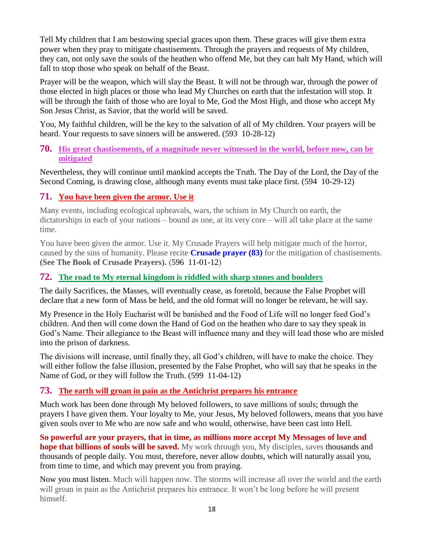Tell My children that I am bestowing special graces upon them. These graces will give them extra power when they pray to mitigate chastisements. Through the prayers and requests of My children, they can, not only save the souls of the heathen who offend Me, but they can halt My Hand, which will fall to stop those who speak on behalf of the Beast.

Prayer will be the weapon, which will slay the Beast. It will not be through war, through the power of those elected in high places or those who lead My Churches on earth that the infestation will stop. It will be through the faith of those who are loyal to Me, God the Most High, and those who accept My Son Jesus Christ, as Savior, that the world will be saved.

You, My faithful children, will be the key to the salvation of all of My children. Your prayers will be heard. Your requests to save sinners will be answered. (593 10-28-12)

#### **70. [His great chastisements, of a magnitude never witnessed in the world, before now, can be](http://www.thewarningsecondcoming.com/his-great-chastisements-of-a-magnitude-never-witnessed-in-the-world-before-now-can-be-mitigated/)  [mitigated](http://www.thewarningsecondcoming.com/his-great-chastisements-of-a-magnitude-never-witnessed-in-the-world-before-now-can-be-mitigated/)**

Nevertheless, they will continue until mankind accepts the Truth. The Day of the Lord, the Day of the Second Coming, is drawing close, although many events must take place first. (594 10-29-12)

# **71. [You have been given the armor. Use it](http://www.thewarningsecondcoming.com/you-have-been-given-the-armour-use-it/)**

Many events, including ecological upheavals, wars, the schism in My Church on earth, the dictatorships in each of your nations – bound as one, at its very core – will all take place at the same time.

You have been given the armor. Use it. My Crusade Prayers will help mitigate much of the horror, caused by the sins of humanity. Please recite **Crusade prayer (83)** for the mitigation of chastisements. **(See The Book of Crusade Prayers).** (596 11-01-12)

# **72. [The road to My eternal kingdom is riddled with sharp stones and boulders](http://www.thewarningsecondcoming.com/the-road-to-my-eternal-kingdom-is-riddled-with-sharp-stones-and-boulders/)**

The daily Sacrifices, the Masses, will eventually cease, as foretold, because the False Prophet will declare that a new form of Mass be held, and the old format will no longer be relevant, he will say.

My Presence in the Holy Eucharist will be banished and the Food of Life will no longer feed God's children. And then will come down the Hand of God on the heathen who dare to say they speak in God's Name. Their allegiance to the Beast will influence many and they will lead those who are misled into the prison of darkness.

The divisions will increase, until finally they, all God's children, will have to make the choice. They will either follow the false illusion, presented by the False Prophet, who will say that he speaks in the Name of God, or they will follow the Truth. (599 11-04-12)

# **73. [The earth will groan in pain as the Antichrist prepares his entrance](http://www.thewarningsecondcoming.com/the-earth-will-groan-in-pain-as-the-antichrist-prepares-his-entrance/)**

Much work has been done through My beloved followers, to save millions of souls; through the prayers I have given them. Your loyalty to Me, your Jesus, My beloved followers, means that you have given souls over to Me who are now safe and who would, otherwise, have been cast into Hell.

**So powerful are your prayers, that in time, as millions more accept My Messages of love and hope that billions of souls will be saved.** My work through you, My disciples, saves thousands and thousands of people daily. You must, therefore, never allow doubts, which will naturally assail you, from time to time, and which may prevent you from praying.

Now you must listen. Much will happen now. The storms will increase all over the world and the earth will groan in pain as the Antichrist prepares his entrance. It won't be long before he will present himself.